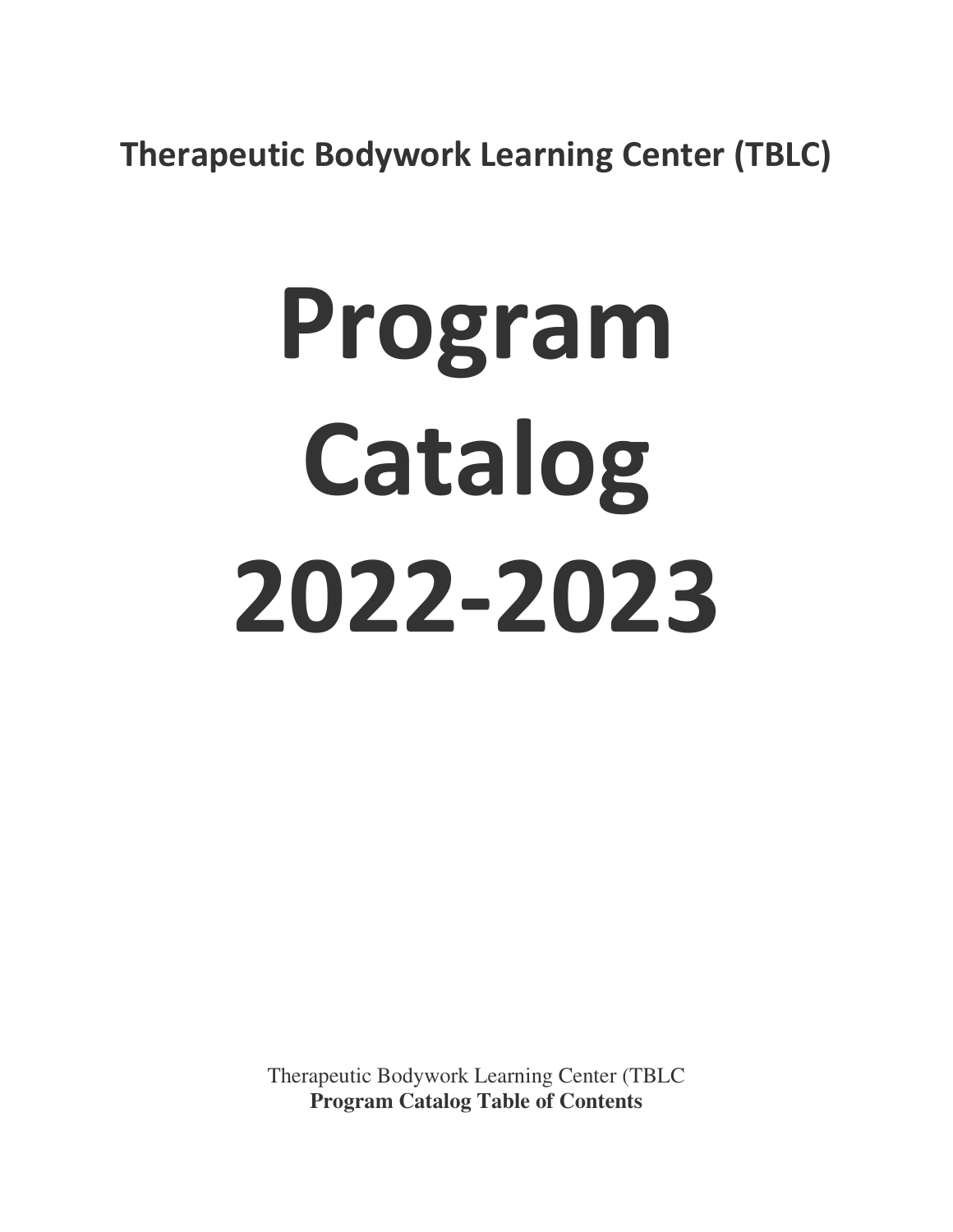**Therapeutic Bodywork Learning Center (TBLC)**

# **Program Catalog 2022-2023**

Therapeutic Bodywork Learning Center (TBLC **Program Catalog Table of Contents**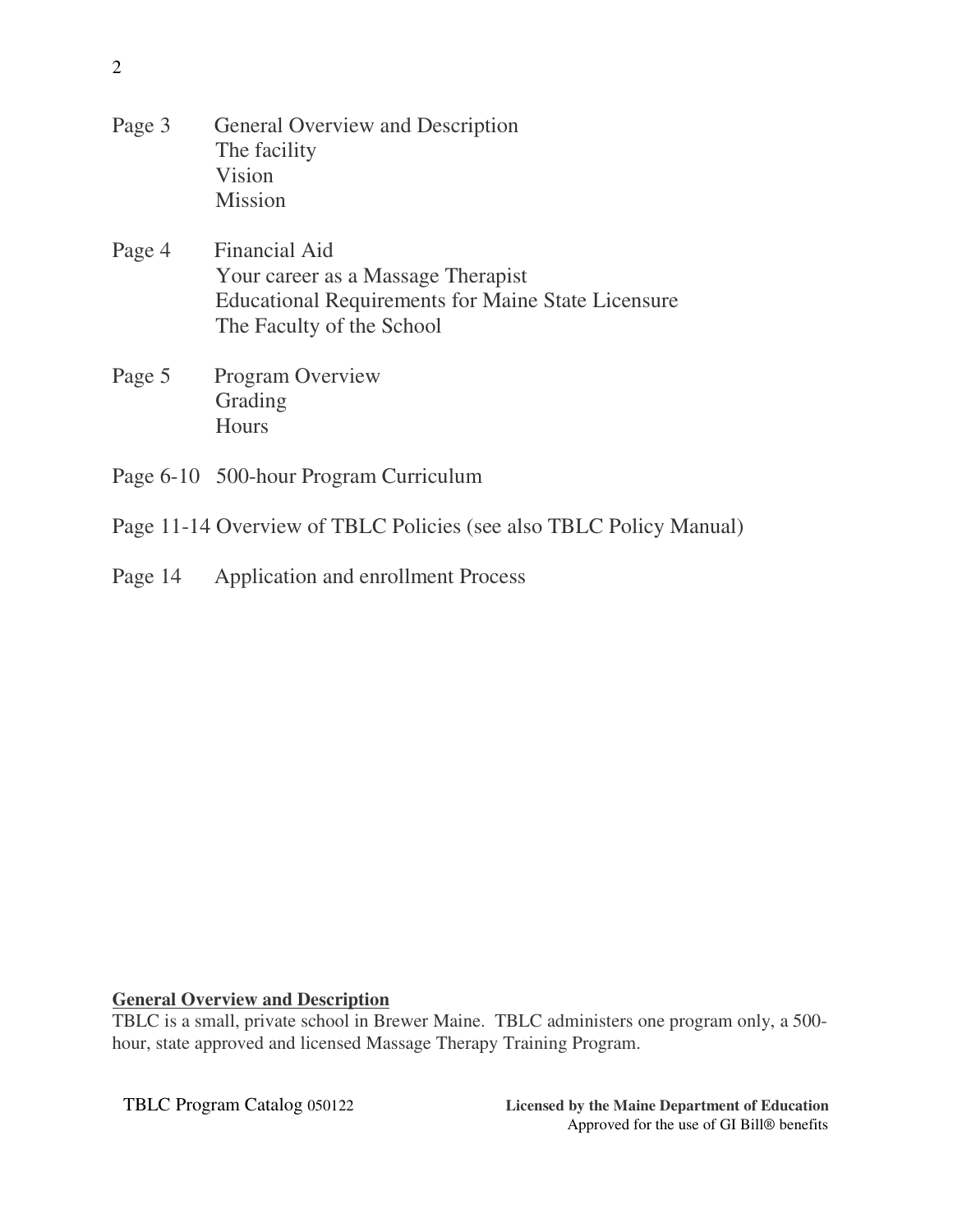| Page 3 | General Overview and Description<br>The facility<br>Vision<br><b>Mission</b>                                                                  |
|--------|-----------------------------------------------------------------------------------------------------------------------------------------------|
| Page 4 | Financial Aid<br>Your career as a Massage Therapist<br><b>Educational Requirements for Maine State Licensure</b><br>The Faculty of the School |
| Page 5 | <b>Program Overview</b><br>Grading<br>Hours                                                                                                   |
|        | Page 6-10 500-hour Program Curriculum                                                                                                         |

- Page 11-14 Overview of TBLC Policies (see also TBLC Policy Manual)
- Page 14 Application and enrollment Process

# **General Overview and Description**

TBLC is a small, private school in Brewer Maine. TBLC administers one program only, a 500 hour, state approved and licensed Massage Therapy Training Program.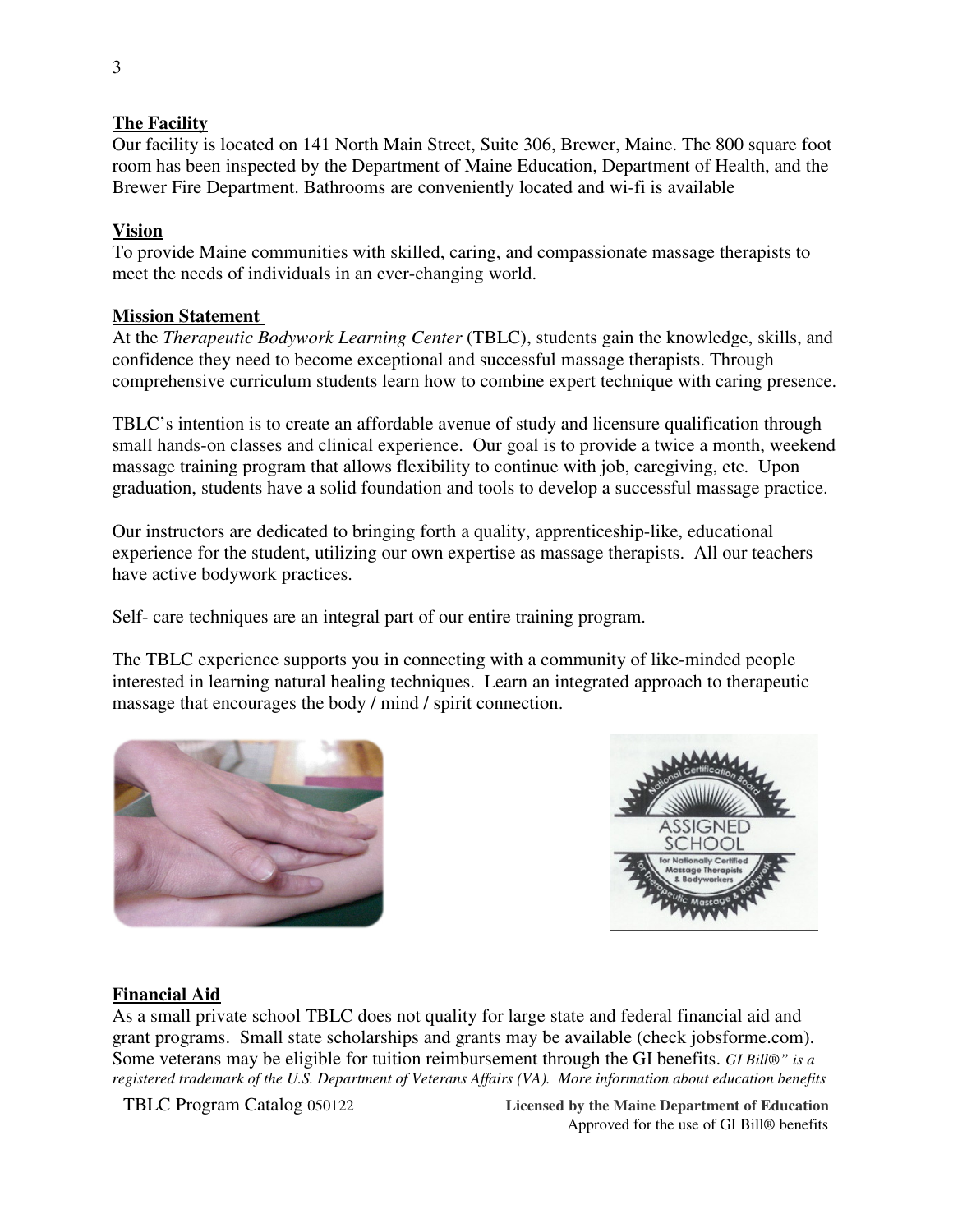# **The Facility**

Our facility is located on 141 North Main Street, Suite 306, Brewer, Maine. The 800 square foot room has been inspected by the Department of Maine Education, Department of Health, and the Brewer Fire Department. Bathrooms are conveniently located and wi-fi is available

# **Vision**

To provide Maine communities with skilled, caring, and compassionate massage therapists to meet the needs of individuals in an ever-changing world.

# **Mission Statement**

At the *Therapeutic Bodywork Learning Center* (TBLC), students gain the knowledge, skills, and confidence they need to become exceptional and successful massage therapists. Through comprehensive curriculum students learn how to combine expert technique with caring presence.

TBLC's intention is to create an affordable avenue of study and licensure qualification through small hands-on classes and clinical experience. Our goal is to provide a twice a month, weekend massage training program that allows flexibility to continue with job, caregiving, etc. Upon graduation, students have a solid foundation and tools to develop a successful massage practice.

Our instructors are dedicated to bringing forth a quality, apprenticeship-like, educational experience for the student, utilizing our own expertise as massage therapists. All our teachers have active bodywork practices.

Self- care techniques are an integral part of our entire training program.

The TBLC experience supports you in connecting with a community of like-minded people interested in learning natural healing techniques. Learn an integrated approach to therapeutic massage that encourages the body / mind / spirit connection.





# **Financial Aid**

As a small private school TBLC does not quality for large state and federal financial aid and grant programs. Small state scholarships and grants may be available (check jobsforme.com). Some veterans may be eligible for tuition reimbursement through the GI benefits. *GI Bill®" is a registered trademark of the U.S. Department of Veterans Affairs (VA). More information about education benefits* 

TBLC Program Catalog 050122 **Licensed by the Maine Department of Education** Approved for the use of GI Bill® benefits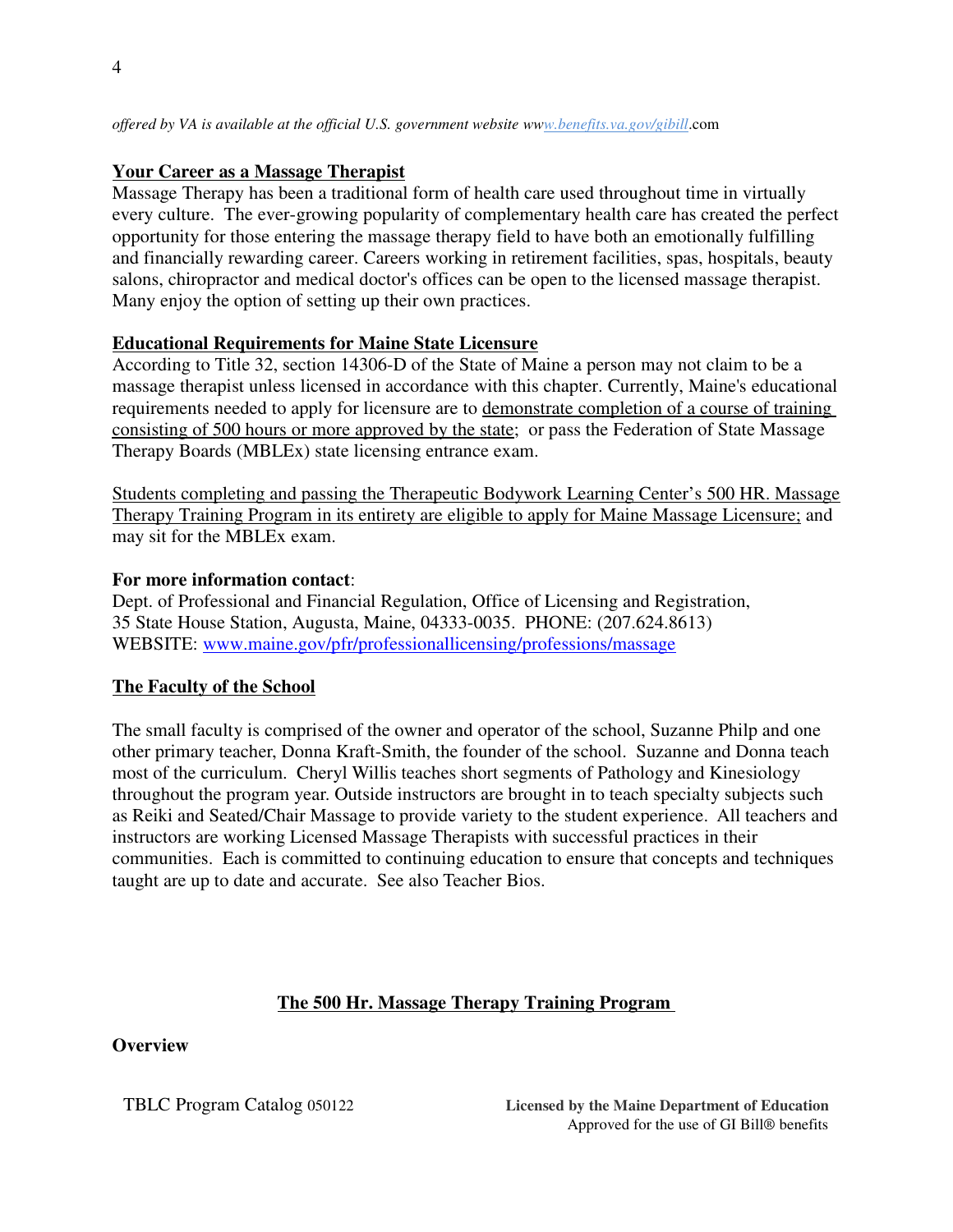*offered by VA is available at the official U.S. government website www.benefits.va.gov/gibill*.com

#### **Your Career as a Massage Therapist**

Massage Therapy has been a traditional form of health care used throughout time in virtually every culture. The ever-growing popularity of complementary health care has created the perfect opportunity for those entering the massage therapy field to have both an emotionally fulfilling and financially rewarding career. Careers working in retirement facilities, spas, hospitals, beauty salons, chiropractor and medical doctor's offices can be open to the licensed massage therapist. Many enjoy the option of setting up their own practices.

#### **Educational Requirements for Maine State Licensure**

According to Title 32, section 14306-D of the State of Maine a person may not claim to be a massage therapist unless licensed in accordance with this chapter. Currently, Maine's educational requirements needed to apply for licensure are to demonstrate completion of a course of training consisting of 500 hours or more approved by the state; or pass the Federation of State Massage Therapy Boards (MBLEx) state licensing entrance exam.

Students completing and passing the Therapeutic Bodywork Learning Center's 500 HR. Massage Therapy Training Program in its entirety are eligible to apply for Maine Massage Licensure; and may sit for the MBLEx exam.

#### **For more information contact**:

Dept. of Professional and Financial Regulation, Office of Licensing and Registration, 35 State House Station, Augusta, Maine, 04333-0035. PHONE: (207.624.8613) WEBSITE: www.maine.gov/pfr/professionallicensing/professions/massage

#### **The Faculty of the School**

The small faculty is comprised of the owner and operator of the school, Suzanne Philp and one other primary teacher, Donna Kraft-Smith, the founder of the school. Suzanne and Donna teach most of the curriculum. Cheryl Willis teaches short segments of Pathology and Kinesiology throughout the program year. Outside instructors are brought in to teach specialty subjects such as Reiki and Seated/Chair Massage to provide variety to the student experience. All teachers and instructors are working Licensed Massage Therapists with successful practices in their communities. Each is committed to continuing education to ensure that concepts and techniques taught are up to date and accurate. See also Teacher Bios.

#### **The 500 Hr. Massage Therapy Training Program**

#### **Overview**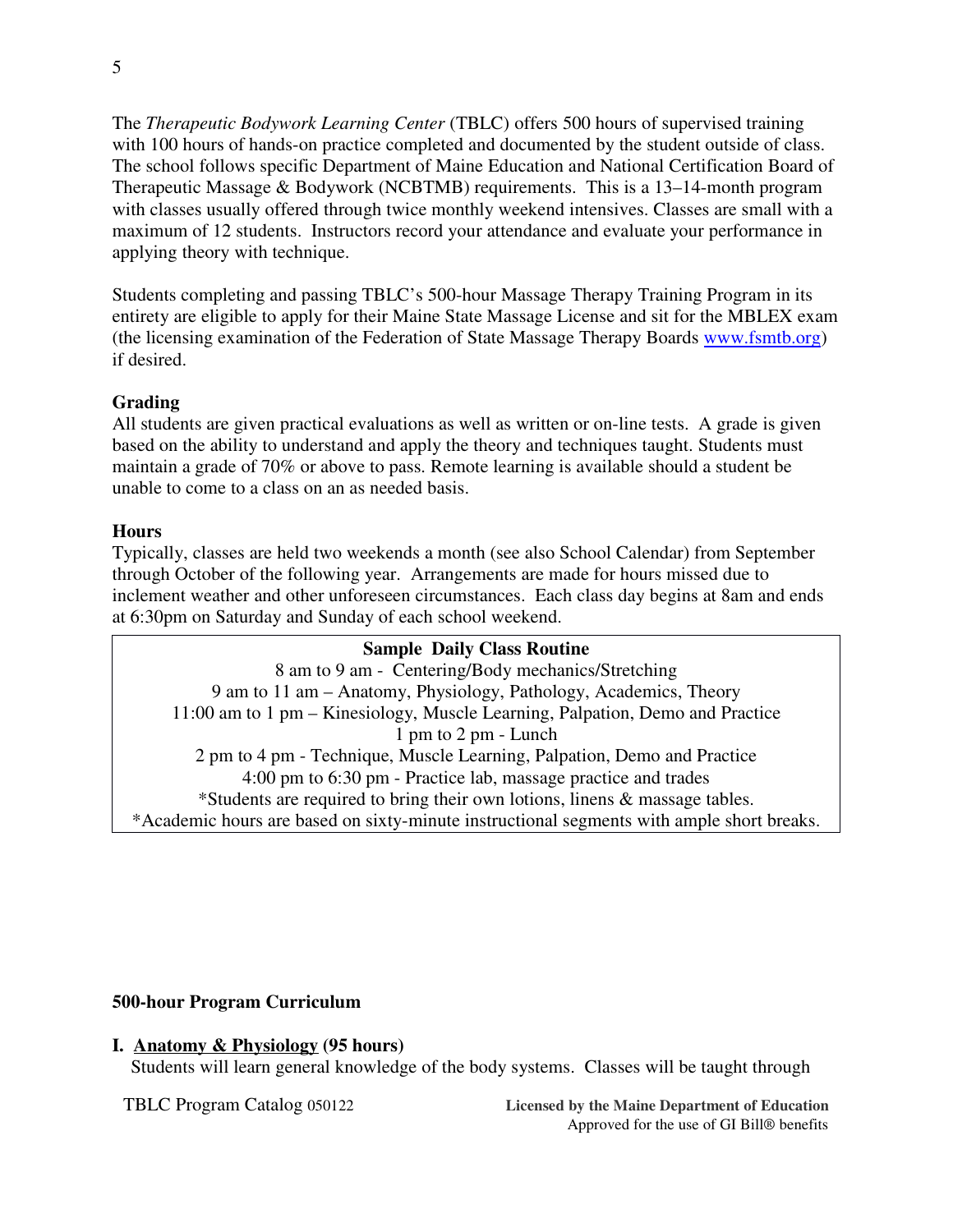The *Therapeutic Bodywork Learning Center* (TBLC) offers 500 hours of supervised training with 100 hours of hands-on practice completed and documented by the student outside of class. The school follows specific Department of Maine Education and National Certification Board of Therapeutic Massage & Bodywork (NCBTMB) requirements. This is a 13–14-month program with classes usually offered through twice monthly weekend intensives. Classes are small with a maximum of 12 students. Instructors record your attendance and evaluate your performance in applying theory with technique.

Students completing and passing TBLC's 500-hour Massage Therapy Training Program in its entirety are eligible to apply for their Maine State Massage License and sit for the MBLEX exam (the licensing examination of the Federation of State Massage Therapy Boards www.fsmtb.org) if desired.

# **Grading**

All students are given practical evaluations as well as written or on-line tests. A grade is given based on the ability to understand and apply the theory and techniques taught. Students must maintain a grade of 70% or above to pass. Remote learning is available should a student be unable to come to a class on an as needed basis.

# **Hours**

Typically, classes are held two weekends a month (see also School Calendar) from September through October of the following year. Arrangements are made for hours missed due to inclement weather and other unforeseen circumstances. Each class day begins at 8am and ends at 6:30pm on Saturday and Sunday of each school weekend.

**Sample Daily Class Routine** 8 am to 9 am - Centering/Body mechanics/Stretching 9 am to 11 am – Anatomy, Physiology, Pathology, Academics, Theory 11:00 am to 1 pm – Kinesiology, Muscle Learning, Palpation, Demo and Practice 1 pm to 2 pm - Lunch 2 pm to 4 pm - Technique, Muscle Learning, Palpation, Demo and Practice 4:00 pm to 6:30 pm - Practice lab, massage practice and trades \*Students are required to bring their own lotions, linens & massage tables. \*Academic hours are based on sixty-minute instructional segments with ample short breaks.

# **500-hour Program Curriculum**

# **I. Anatomy & Physiology (95 hours)**

Students will learn general knowledge of the body systems. Classes will be taught through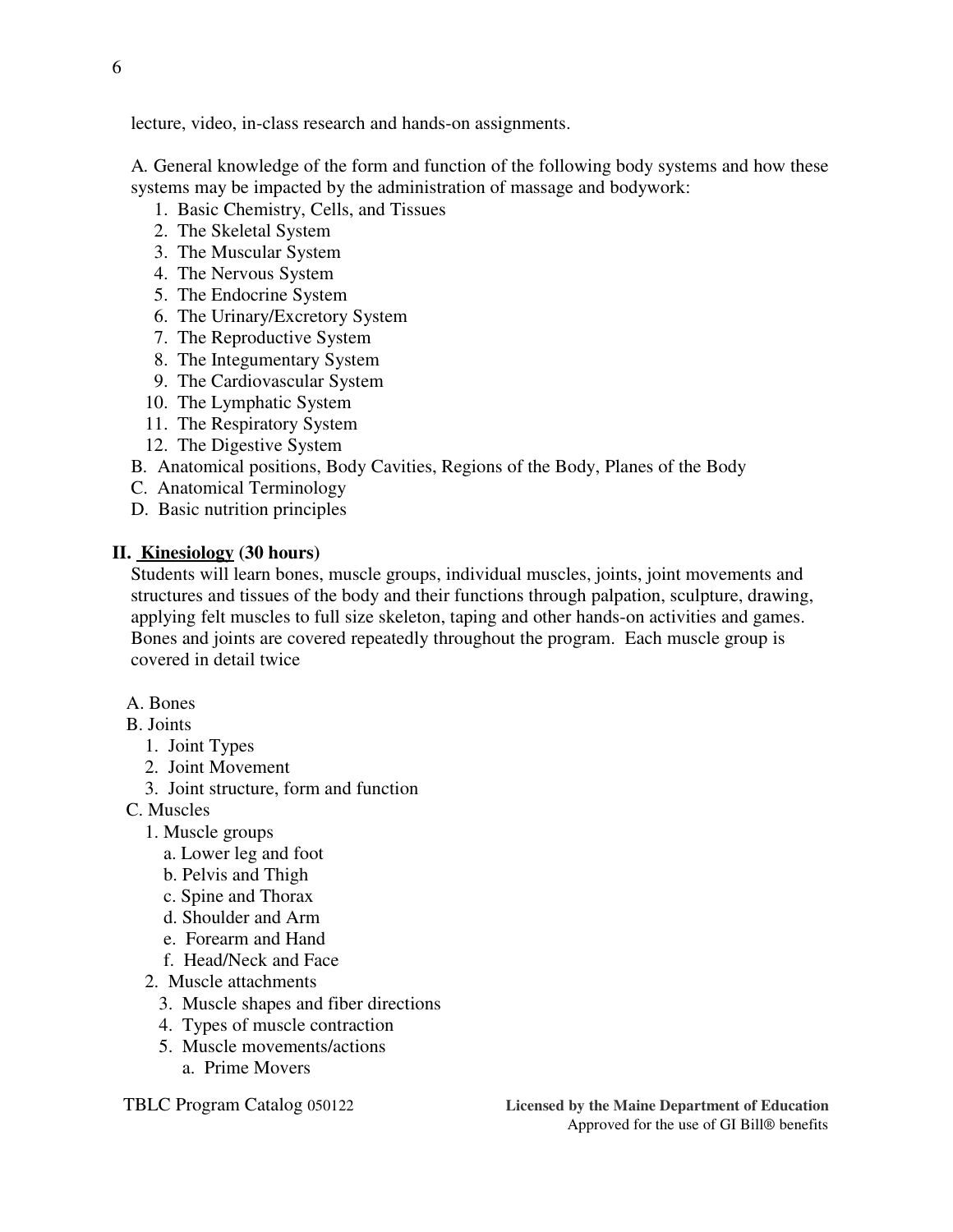lecture, video, in-class research and hands-on assignments.

 A*.* General knowledge of the form and function of the following body systems and how these systems may be impacted by the administration of massage and bodywork:

- 1. Basic Chemistry, Cells, and Tissues
- 2. The Skeletal System
- 3. The Muscular System
- 4. The Nervous System
- 5. The Endocrine System
- 6. The Urinary/Excretory System
- 7. The Reproductive System
- 8. The Integumentary System
- 9. The Cardiovascular System
- 10. The Lymphatic System
- 11. The Respiratory System
- 12. The Digestive System
- B*.* Anatomical positions, Body Cavities, Regions of the Body, Planes of the Body
- C. Anatomical Terminology
- D. Basic nutrition principles

#### **II. Kinesiology (30 hours)**

 Students will learn bones, muscle groups, individual muscles, joints, joint movements and structures and tissues of the body and their functions through palpation, sculpture, drawing, applying felt muscles to full size skeleton, taping and other hands-on activities and games. Bones and joints are covered repeatedly throughout the program. Each muscle group is covered in detail twice

#### A. Bones

- B. Joints
	- 1. Joint Types
	- 2. Joint Movement
	- 3. Joint structure, form and function
- C. Muscles
	- 1. Muscle groups
		- a. Lower leg and foot
		- b. Pelvis and Thigh
		- c. Spine and Thorax
		- d. Shoulder and Arm
		- e. Forearm and Hand
		- f. Head/Neck and Face
	- 2. Muscle attachments
		- 3. Muscle shapes and fiber directions
		- 4. Types of muscle contraction
		- 5. Muscle movements/actions
			- a. Prime Movers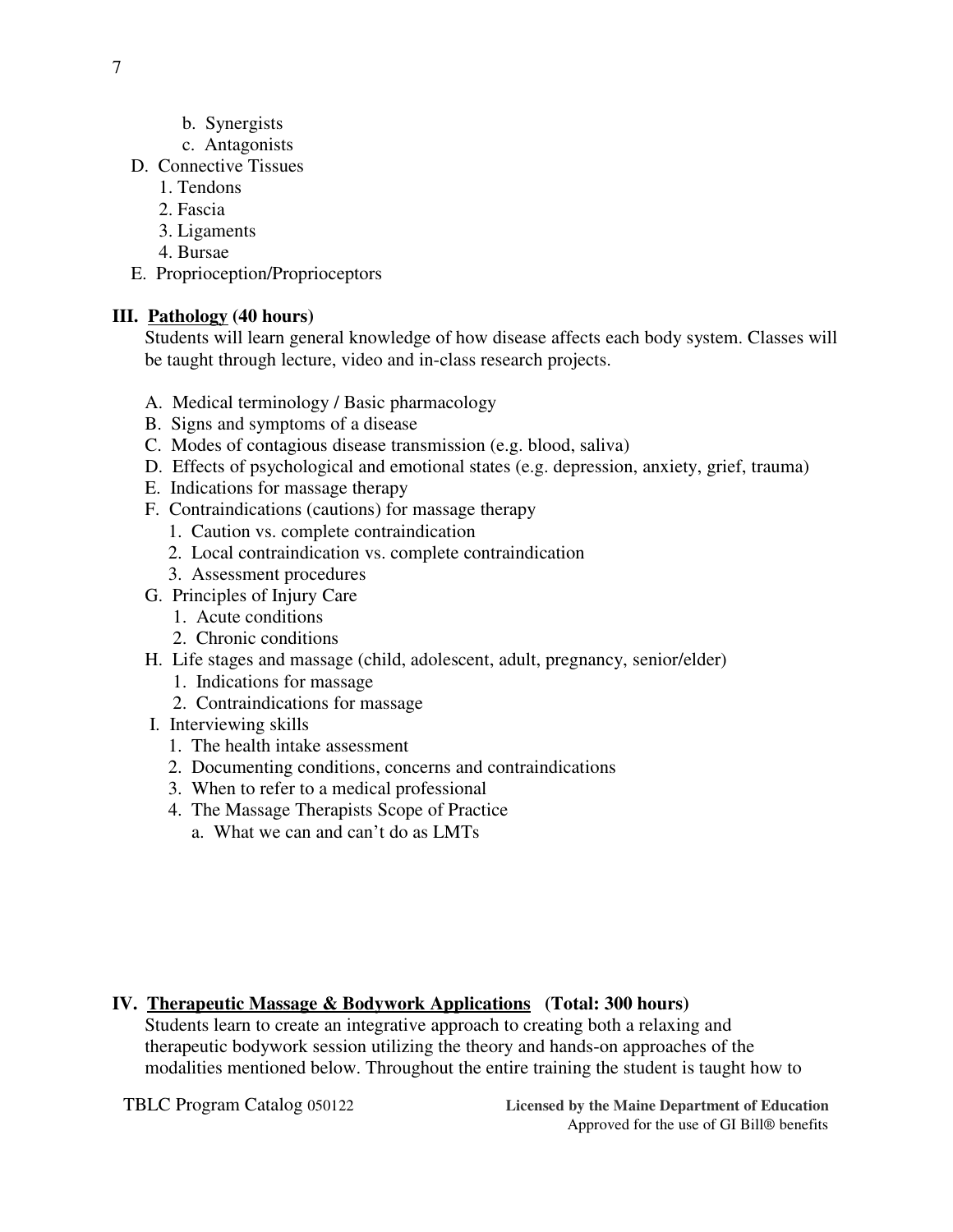- b. Synergists
- c. Antagonists
- D. Connective Tissues
	- 1. Tendons
	- 2. Fascia
	- 3. Ligaments
	- 4. Bursae
- E. Proprioception/Proprioceptors

# **III. Pathology (40 hours)**

 Students will learn general knowledge of how disease affects each body system. Classes will be taught through lecture, video and in-class research projects.

- A. Medical terminology / Basic pharmacology
- B. Signs and symptoms of a disease
- C. Modes of contagious disease transmission (e.g. blood, saliva)
- D. Effects of psychological and emotional states (e.g. depression, anxiety, grief, trauma)
- E. Indications for massage therapy
- F. Contraindications (cautions) for massage therapy
	- 1. Caution vs. complete contraindication
	- 2. Local contraindication vs. complete contraindication
	- 3. Assessment procedures
- G. Principles of Injury Care
	- 1. Acute conditions
	- 2. Chronic conditions
- H. Life stages and massage (child, adolescent, adult, pregnancy, senior/elder)
	- 1. Indications for massage
	- 2. Contraindications for massage
- I. Interviewing skills
	- 1. The health intake assessment
	- 2. Documenting conditions, concerns and contraindications
	- 3. When to refer to a medical professional
	- 4. The Massage Therapists Scope of Practice
		- a. What we can and can't do as LMTs

# **IV. Therapeutic Massage & Bodywork Applications (Total: 300 hours)**

 Students learn to create an integrative approach to creating both a relaxing and therapeutic bodywork session utilizing the theory and hands-on approaches of the modalities mentioned below. Throughout the entire training the student is taught how to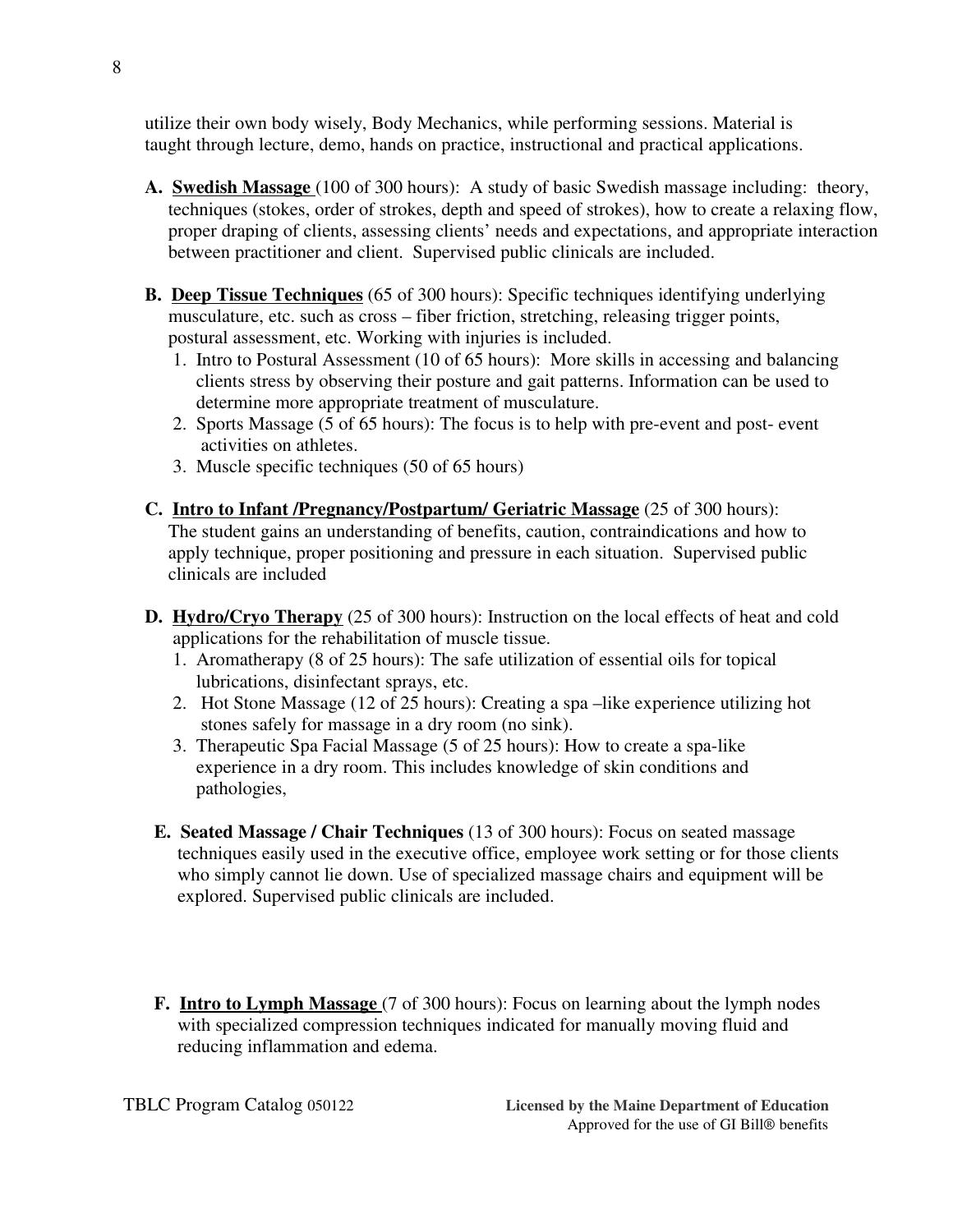utilize their own body wisely, Body Mechanics, while performing sessions. Material is taught through lecture, demo, hands on practice, instructional and practical applications.

- **A. Swedish Massage** (100 of 300 hours): A study of basic Swedish massage including: theory, techniques (stokes, order of strokes, depth and speed of strokes), how to create a relaxing flow, proper draping of clients, assessing clients' needs and expectations, and appropriate interaction between practitioner and client. Supervised public clinicals are included.
- **B. Deep Tissue Techniques** (65 of 300 hours): Specific techniques identifying underlying musculature, etc. such as cross – fiber friction, stretching, releasing trigger points, postural assessment, etc. Working with injuries is included.
	- 1. Intro to Postural Assessment (10 of 65 hours):More skills in accessing and balancing clients stress by observing their posture and gait patterns. Information can be used to determine more appropriate treatment of musculature.
	- 2. Sports Massage (5 of 65 hours): The focus is to help with pre-event and post- event activities on athletes.
	- 3. Muscle specific techniques (50 of 65 hours)
- **C. Intro to Infant /Pregnancy/Postpartum/ Geriatric Massage** (25 of 300 hours): The student gains an understanding of benefits, caution, contraindications and how to apply technique, proper positioning and pressure in each situation. Supervised public clinicals are included
- **D. Hydro/Cryo Therapy** (25 of 300 hours): Instruction on the local effects of heat and cold applications for the rehabilitation of muscle tissue.
	- 1. Aromatherapy (8 of 25 hours): The safe utilization of essential oils for topical lubrications, disinfectant sprays, etc.
	- 2. Hot Stone Massage (12 of 25 hours): Creating a spa –like experience utilizing hot stones safely for massage in a dry room (no sink).
	- 3. Therapeutic Spa Facial Massage (5 of 25 hours): How to create a spa-like experience in a dry room. This includes knowledge of skin conditions and pathologies,
- **E. Seated Massage / Chair Techniques** (13 of 300 hours): Focus on seated massage techniques easily used in the executive office, employee work setting or for those clients who simply cannot lie down. Use of specialized massage chairs and equipment will be explored. Supervised public clinicals are included.
- **F. Intro to Lymph Massage** (7 of 300 hours): Focus on learning about the lymph nodes with specialized compression techniques indicated for manually moving fluid and reducing inflammation and edema.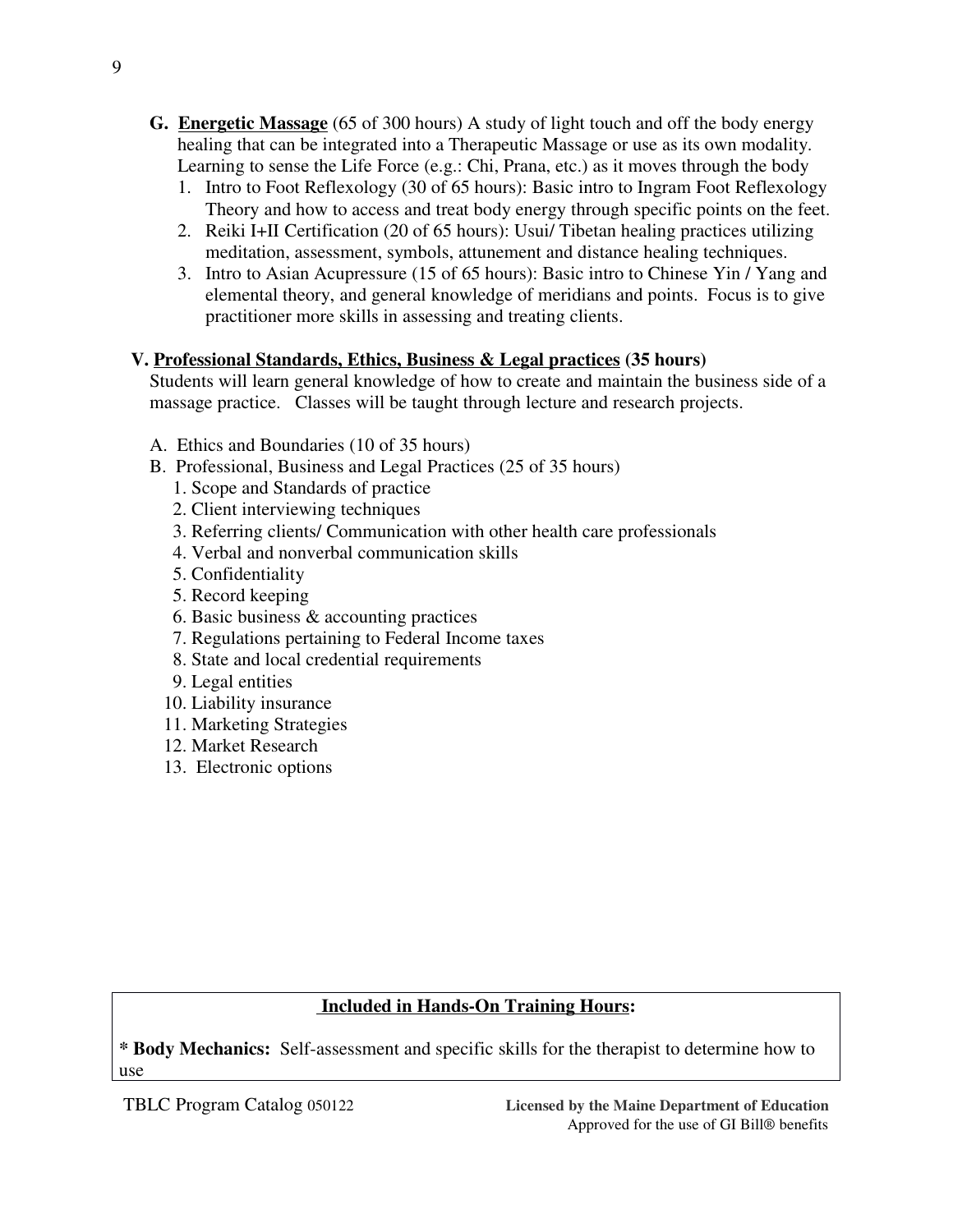- **G. Energetic Massage** (65 of 300 hours) A study of light touch and off the body energy healing that can be integrated into a Therapeutic Massage or use as its own modality. Learning to sense the Life Force (e.g.: Chi, Prana, etc.) as it moves through the body
	- 1. Intro to Foot Reflexology (30 of 65 hours): Basic intro to Ingram Foot Reflexology Theory and how to access and treat body energy through specific points on the feet.
	- 2. Reiki I+II Certification (20 of 65 hours): Usui/ Tibetan healing practices utilizing meditation, assessment, symbols, attunement and distance healing techniques.
	- 3. Intro to Asian Acupressure (15 of 65 hours): Basic intro to Chinese Yin / Yang and elemental theory, and general knowledge of meridians and points. Focus is to give practitioner more skills in assessing and treating clients.

# **V. Professional Standards, Ethics, Business & Legal practices (35 hours)**

 Students will learn general knowledge of how to create and maintain the business side of a massage practice. Classes will be taught through lecture and research projects.

- A. Ethics and Boundaries (10 of 35 hours)
- B. Professional, Business and Legal Practices (25 of 35 hours)
	- 1. Scope and Standards of practice
	- 2. Client interviewing techniques
	- 3. Referring clients/ Communication with other health care professionals
	- 4. Verbal and nonverbal communication skills
	- 5. Confidentiality
	- 5. Record keeping
	- 6. Basic business & accounting practices
	- 7. Regulations pertaining to Federal Income taxes
	- 8. State and local credential requirements
	- 9. Legal entities
	- 10. Liability insurance
	- 11. Marketing Strategies
	- 12. Market Research
	- 13. Electronic options

*\** **Body Mechanics:** Self-assessment and specific skills for the therapist to determine how to use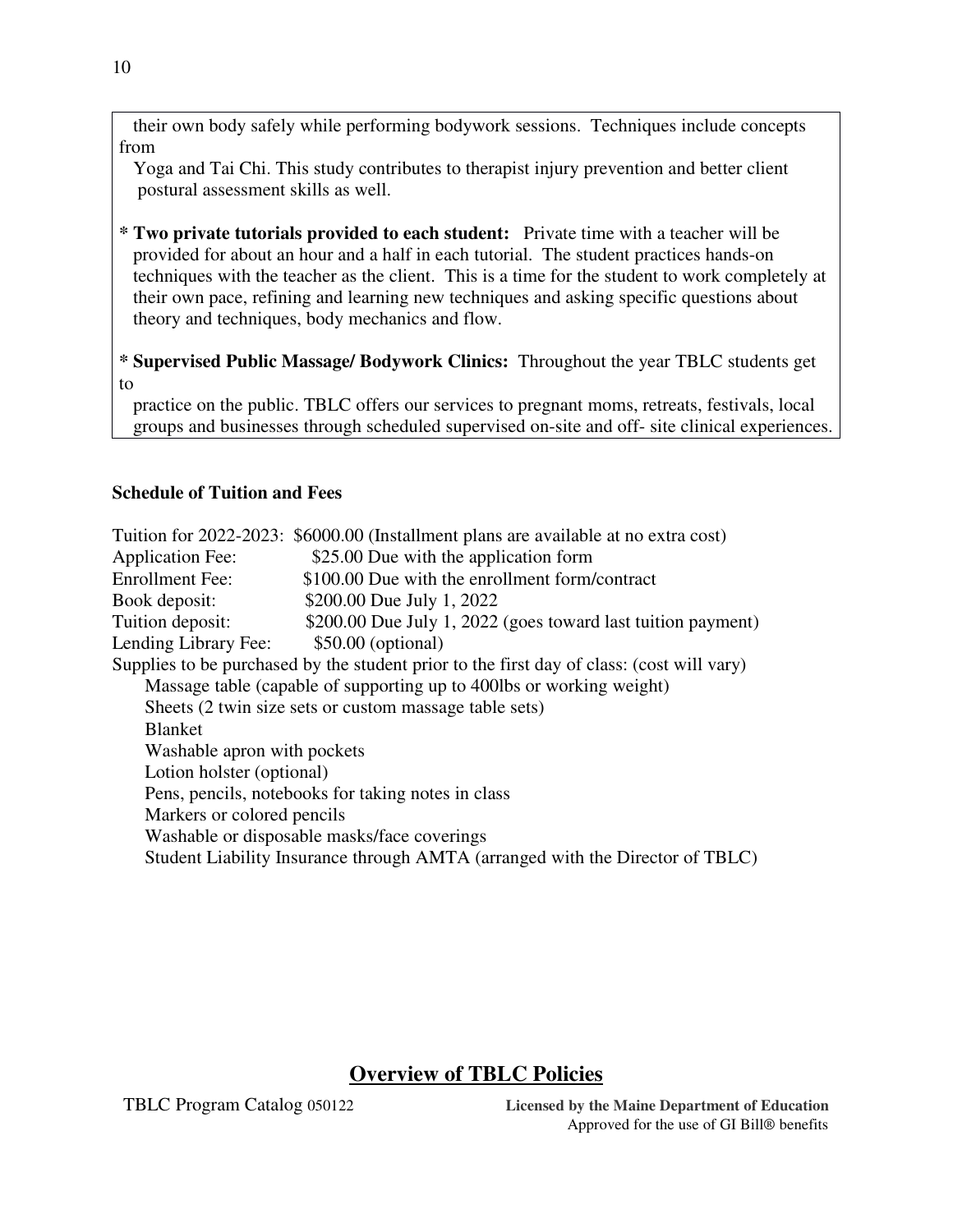their own body safely while performing bodywork sessions. Techniques include concepts from

 Yoga and Tai Chi. This study contributes to therapist injury prevention and better client postural assessment skills as well.

- *\** **Two private tutorials provided to each student:**Private time with a teacher will be provided for about an hour and a half in each tutorial. The student practices hands-on techniques with the teacher as the client. This is a time for the student to work completely at their own pace, refining and learning new techniques and asking specific questions about theory and techniques, body mechanics and flow.
- *\** **Supervised Public Massage/ Bodywork Clinics:** Throughout the year TBLC students get to

 practice on the public. TBLC offers our services to pregnant moms, retreats, festivals, local groups and businesses through scheduled supervised on-site and off- site clinical experiences.

### **Schedule of Tuition and Fees**

Tuition for 2022-2023: \$6000.00 (Installment plans are available at no extra cost) Application Fee:  $$25.00$  Due with the application form Enrollment Fee: \$100.00 Due with the enrollment form/contract Book deposit: \$200.00 Due July 1, 2022 Tuition deposit: \$200.00 Due July 1, 2022 (goes toward last tuition payment) Lending Library Fee: \$50.00 (optional) Supplies to be purchased by the student prior to the first day of class: (cost will vary) Massage table (capable of supporting up to 400lbs or working weight) Sheets (2 twin size sets or custom massage table sets) Blanket Washable apron with pockets Lotion holster (optional) Pens, pencils, notebooks for taking notes in class Markers or colored pencils Washable or disposable masks/face coverings Student Liability Insurance through AMTA (arranged with the Director of TBLC)

# **Overview of TBLC Policies**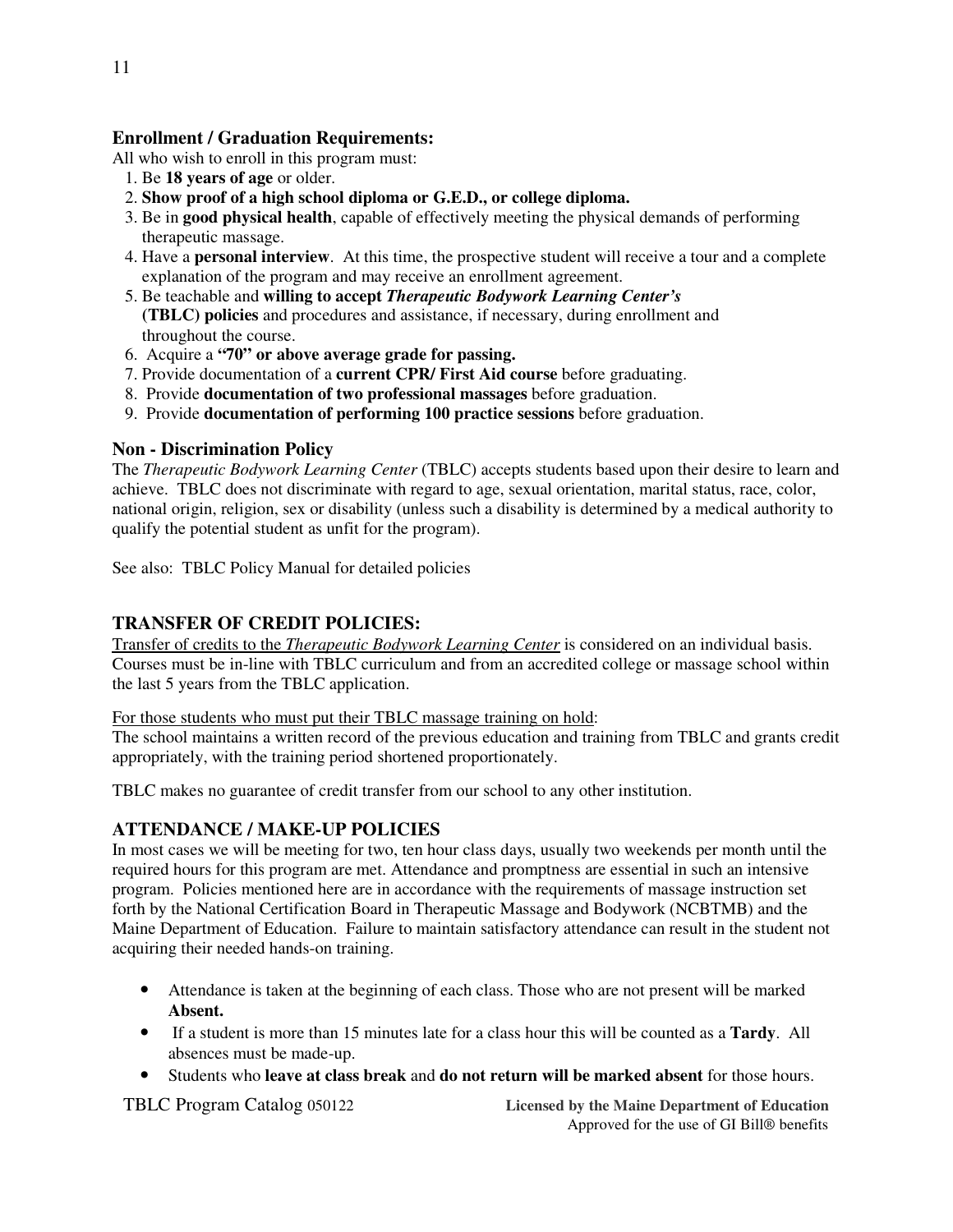# **Enrollment / Graduation Requirements:**

All who wish to enroll in this program must:

- 1. Be **18 years of age** or older.
- 2. **Show proof of a high school diploma or G.E.D., or college diploma.**
- 3. Be in **good physical health**, capable of effectively meeting the physical demands of performing therapeutic massage.
- 4. Have a **personal interview**. At this time, the prospective student will receive a tour and a complete explanation of the program and may receive an enrollment agreement.
- 5. Be teachable and **willing to accept** *Therapeutic Bodywork Learning Center's* **(TBLC) policies** and procedures and assistance, if necessary, during enrollment and throughout the course.
- 6. Acquire a **"70" or above average grade for passing.**
- 7. Provide documentation of a **current CPR/ First Aid course** before graduating.
- 8. Provide **documentation of two professional massages** before graduation.
- 9. Provide **documentation of performing 100 practice sessions** before graduation.

#### **Non - Discrimination Policy**

The *Therapeutic Bodywork Learning Center* (TBLC) accepts students based upon their desire to learn and achieve. TBLC does not discriminate with regard to age, sexual orientation, marital status, race, color, national origin, religion, sex or disability (unless such a disability is determined by a medical authority to qualify the potential student as unfit for the program).

See also: TBLC Policy Manual for detailed policies

# **TRANSFER OF CREDIT POLICIES:**

 Transfer of credits to the *Therapeutic Bodywork Learning Center* is considered on an individual basis. Courses must be in-line with TBLC curriculum and from an accredited college or massage school within the last 5 years from the TBLC application.

#### For those students who must put their TBLC massage training on hold:

The school maintains a written record of the previous education and training from TBLC and grants credit appropriately, with the training period shortened proportionately.

TBLC makes no guarantee of credit transfer from our school to any other institution.

#### **ATTENDANCE / MAKE-UP POLICIES**

In most cases we will be meeting for two, ten hour class days, usually two weekends per month until the required hours for this program are met. Attendance and promptness are essential in such an intensive program. Policies mentioned here are in accordance with the requirements of massage instruction set forth by the National Certification Board in Therapeutic Massage and Bodywork (NCBTMB) and the Maine Department of Education. Failure to maintain satisfactory attendance can result in the student not acquiring their needed hands-on training.

- Attendance is taken at the beginning of each class. Those who are not present will be marked **Absent.**
- If a student is more than 15 minutes late for a class hour this will be counted as a **Tardy**. All absences must be made-up.
- Students who **leave at class break** and **do not return will be marked absent** for those hours.

TBLC Program Catalog 050122 **Licensed by the Maine Department of Education** Approved for the use of GI Bill® benefits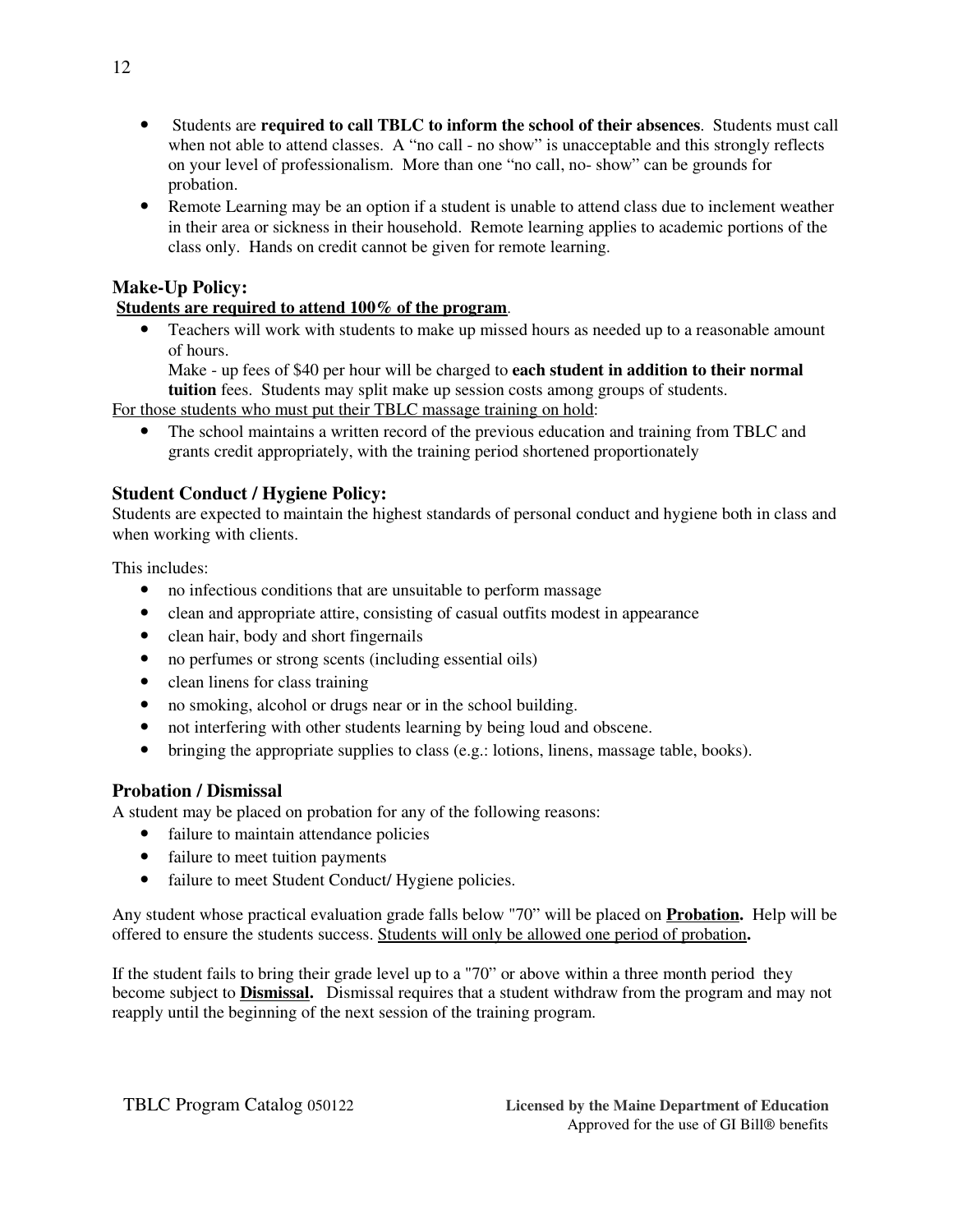- Students are **required to call TBLC to inform the school of their absences**. Students must call when not able to attend classes. A "no call - no show" is unacceptable and this strongly reflects on your level of professionalism. More than one "no call, no- show" can be grounds for probation.
- Remote Learning may be an option if a student is unable to attend class due to inclement weather in their area or sickness in their household. Remote learning applies to academic portions of the class only. Hands on credit cannot be given for remote learning.

# **Make-Up Policy:**

### **Students are required to attend 100% of the program**.

• Teachers will work with students to make up missed hours as needed up to a reasonable amount of hours.

Make - up fees of \$40 per hour will be charged to **each student in addition to their normal tuition** fees. Students may split make up session costs among groups of students.

For those students who must put their TBLC massage training on hold:

• The school maintains a written record of the previous education and training from TBLC and grants credit appropriately, with the training period shortened proportionately

# **Student Conduct / Hygiene Policy:**

Students are expected to maintain the highest standards of personal conduct and hygiene both in class and when working with clients.

This includes:

- no infectious conditions that are unsuitable to perform massage
- clean and appropriate attire, consisting of casual outfits modest in appearance
- clean hair, body and short fingernails
- no perfumes or strong scents (including essential oils)
- clean linens for class training
- no smoking, alcohol or drugs near or in the school building.
- not interfering with other students learning by being loud and obscene.
- bringing the appropriate supplies to class (e.g.: lotions, linens, massage table, books).

# **Probation / Dismissal**

A student may be placed on probation for any of the following reasons:

- failure to maintain attendance policies
- failure to meet tuition payments
- failure to meet Student Conduct/ Hygiene policies.

Any student whose practical evaluation grade falls below "70" will be placed on **Probation.** Help will be offered to ensure the students success. Students will only be allowed one period of probation**.**

If the student fails to bring their grade level up to a "70" or above within a three month period they become subject to **Dismissal.** Dismissal requires that a student withdraw from the program and may not reapply until the beginning of the next session of the training program.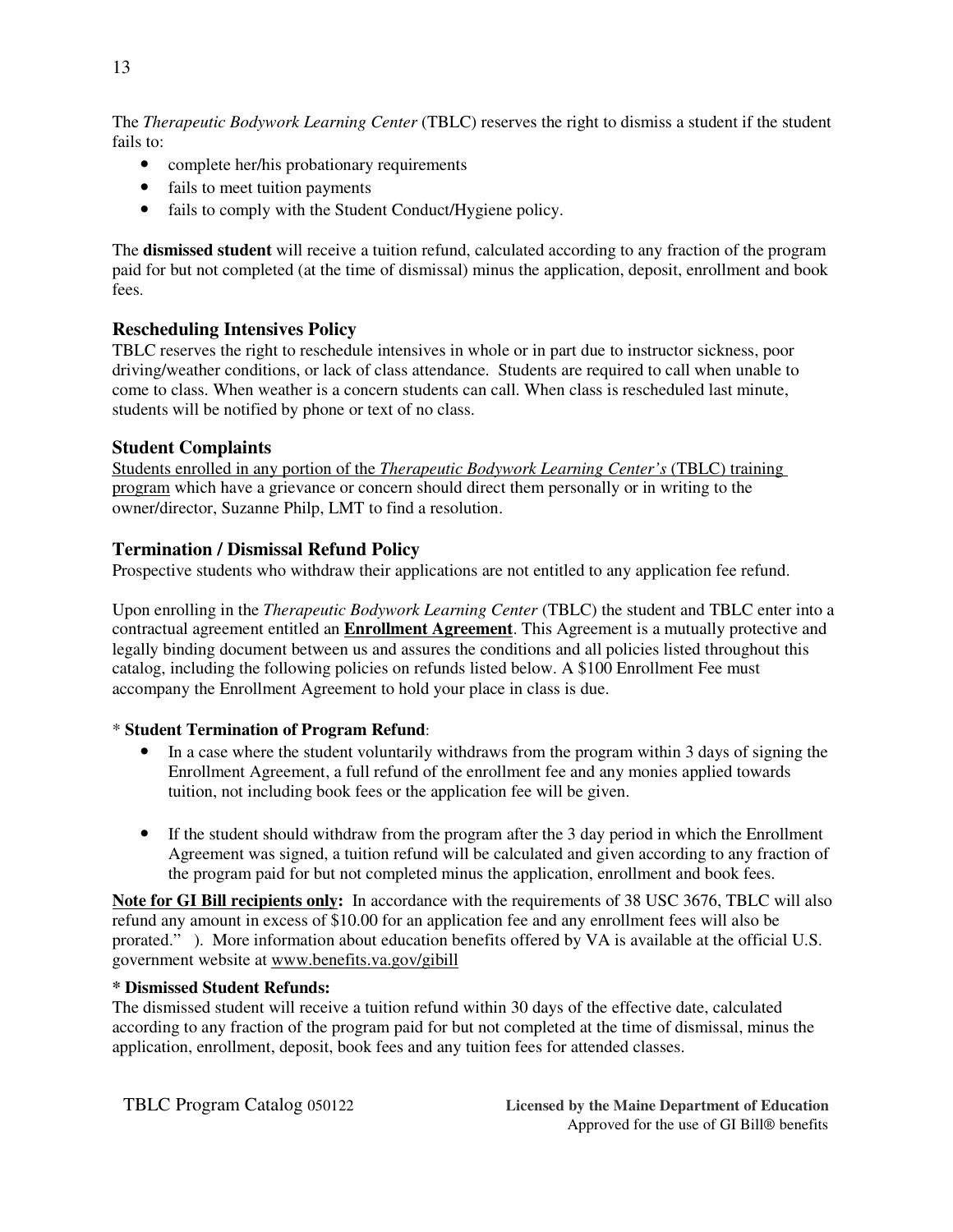The *Therapeutic Bodywork Learning Center* (TBLC) reserves the right to dismiss a student if the student fails to:

- complete her/his probationary requirements
- fails to meet tuition payments
- fails to comply with the Student Conduct/Hygiene policy.

The **dismissed student** will receive a tuition refund, calculated according to any fraction of the program paid for but not completed (at the time of dismissal) minus the application, deposit, enrollment and book fees.

#### **Rescheduling Intensives Policy**

TBLC reserves the right to reschedule intensives in whole or in part due to instructor sickness, poor driving/weather conditions, or lack of class attendance. Students are required to call when unable to come to class. When weather is a concern students can call. When class is rescheduled last minute, students will be notified by phone or text of no class.

#### **Student Complaints**

 Students enrolled in any portion of the *Therapeutic Bodywork Learning Center's* (TBLC) training program which have a grievance or concern should direct them personally or in writing to the owner/director, Suzanne Philp, LMT to find a resolution.

#### **Termination / Dismissal Refund Policy**

Prospective students who withdraw their applications are not entitled to any application fee refund.

Upon enrolling in the *Therapeutic Bodywork Learning Center* (TBLC) the student and TBLC enter into a contractual agreement entitled an **Enrollment Agreement**. This Agreement is a mutually protective and legally binding document between us and assures the conditions and all policies listed throughout this catalog, including the following policies on refunds listed below. A \$100 Enrollment Fee must accompany the Enrollment Agreement to hold your place in class is due.

#### \* **Student Termination of Program Refund**:

- In a case where the student voluntarily withdraws from the program within 3 days of signing the Enrollment Agreement, a full refund of the enrollment fee and any monies applied towards tuition, not including book fees or the application fee will be given.
- If the student should withdraw from the program after the 3 day period in which the Enrollment Agreement was signed, a tuition refund will be calculated and given according to any fraction of the program paid for but not completed minus the application, enrollment and book fees.

**Note for GI Bill recipients only:** In accordance with the requirements of 38 USC 3676, TBLC will also refund any amount in excess of \$10.00 for an application fee and any enrollment fees will also be prorated." ). More information about education benefits offered by VA is available at the official U.S. government website at www.benefits.va.gov/gibill

#### **\* Dismissed Student Refunds:**

The dismissed student will receive a tuition refund within 30 days of the effective date, calculated according to any fraction of the program paid for but not completed at the time of dismissal, minus the application, enrollment, deposit, book fees and any tuition fees for attended classes.